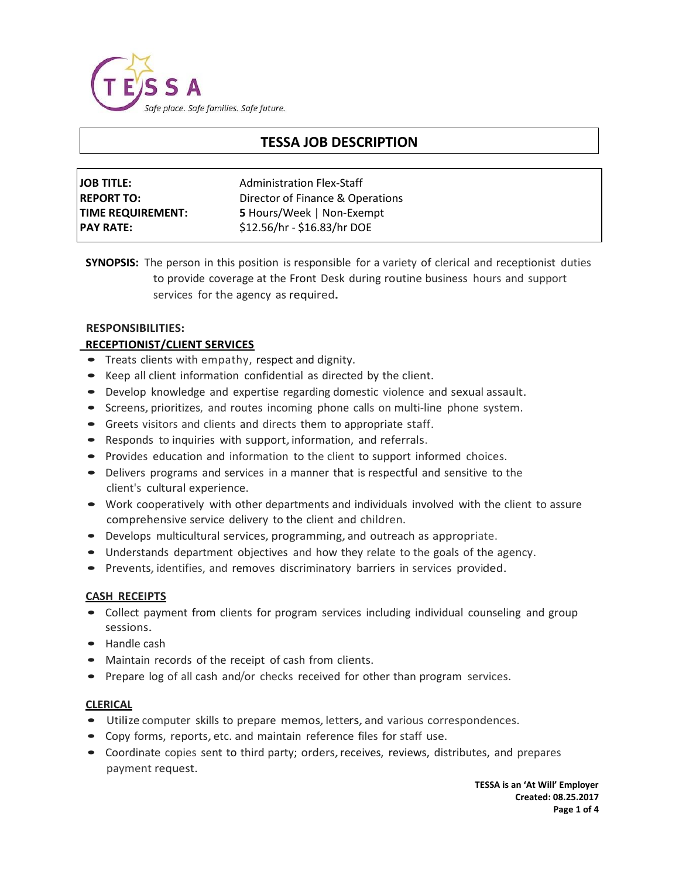

# **TESSA JOB DESCRIPTION**

| <b>JOB TITLE:</b>        | <b>Administration Flex-Staff</b> |
|--------------------------|----------------------------------|
| <b>REPORT TO:</b>        | Director of Finance & Operations |
| <b>TIME REQUIREMENT:</b> | <b>5</b> Hours/Week   Non-Exempt |
| <b>PAY RATE:</b>         | \$12.56/hr - \$16.83/hr DOE      |

**SYNOPSIS:** The person in this position is responsible for a variety of clerical and receptionist duties to provide coverage at the Front Desk during routine business hours and support services for the agency as required.

# **RESPONSIBILITIES:**

# **RECEPTIONIST/CLIENT SERVICES**

- Treats clients with empathy, respect and dignity.
- Keep all client information confidential as directed by the client.
- Develop knowledge and expertise regarding domestic violence and sexual assault.
- Screens, prioritizes, and routes incoming phone calls on multi-line phone system.
- Greets visitors and clients and directs them to appropriate staff.
- Responds to inquiries with support, information, and referrals.
- Provides education and information to the client to support informed choices.
- Delivers programs and services in <sup>a</sup> manner that is respectful and sensitive to the client's cultural experience.
- Work cooperatively with other departments and individuals involved with the client to assure comprehensive service delivery to the client and children.
- Develops multicultural services, programming, and outreach as appropriate.
- Understands department objectives and how they relate to the goals of the agency.
- Prevents, identifies, and removes discriminatory barriers in services provided.

### **CASH RECEIPTS**

- Collect payment from clients for program services including individual counseling and group sessions.
- Handle cash
- Maintain records of the receipt of cash from clients.
- Prepare log of all cash and/or checks received for other than program services.

### **CLERICAL**

- Utilize computer skills to prepare memos, letters, and various correspondences.
- Copy forms, reports, etc. and maintain reference files for staff use.
- Coordinate copies sent to third party; orders, receives, reviews, distributes, and prepares payment request.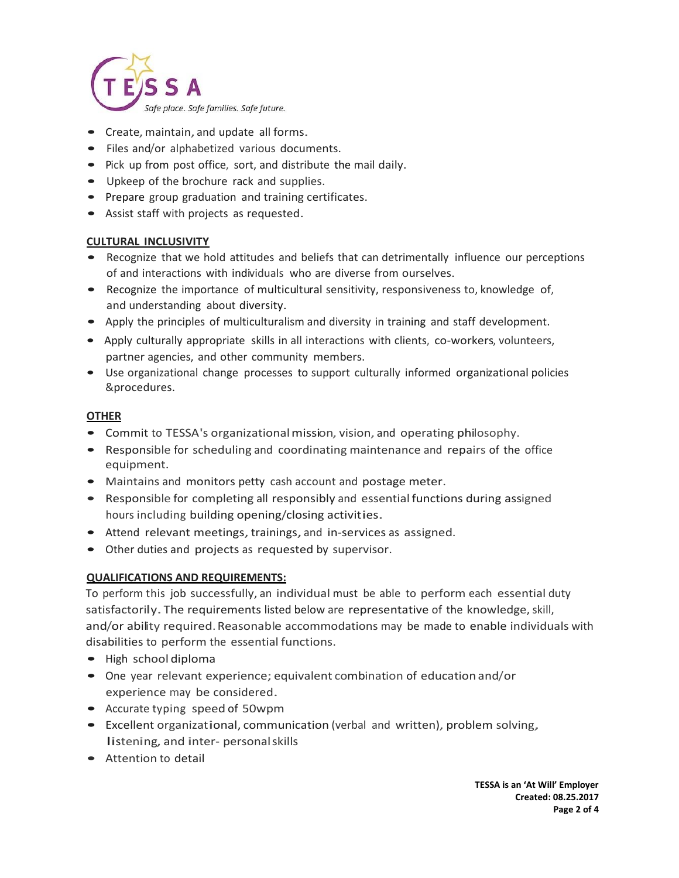

- Create, maintain, and update all forms.
- Files and/or alphabetized various documents.
- Pick up from post office, sort, and distribute the mail daily.
- Upkeep of the brochure rack and supplies.
- Prepare group graduation and training certificates.
- Assist staff with projects as requested.

# **CULTURAL INCLUSIVITY**

- Recognize that we hold attitudes and beliefs that can detrimentally influence our perceptions of and interactions with individuals who are diverse from ourselves.
- Recognize the importance of multicultural sensitivity, responsiveness to, knowledge of, and understanding about diversity.
- Apply the principles of multiculturalism and diversity in training and staff development.
- Apply culturally appropriate skills in all interactions with clients, co-workers, volunteers, partner agencies, and other community members.
- Use organizational change processes to support culturally informed organizational policies &procedures.

# **OTHER**

- Commit to TESSA's organizationalmission, vision, and operating philosophy.
- Responsible for scheduling and coordinating maintenance and repairs of the office equipment.
- Maintains and monitors petty cash account and postage meter.
- Responsible for completing all responsibly and essential functions during assigned hours including building opening/closing activities.
- Attend relevant meetings, trainings, and in-services as assigned.
- Other duties and projects as requested by supervisor.

# **QUALIFICATIONS AND REQUIREMENTS:**

To perform this job successfully, an individual must be able to perform each essential duty satisfactorily. The requirements listed below are representative of the knowledge, skill, and/or ability required. Reasonable accommodations may be made to enable individuals with disabilities to perform the essential functions.

- High school diploma
- One year relevant experience;equivalent combination of education and/or experience may be considered.
- Accurate typing speed of 50wpm
- Excellent organizational, communication (verbal and written), problem solving, listening, and inter- personalskills
- Attention to detail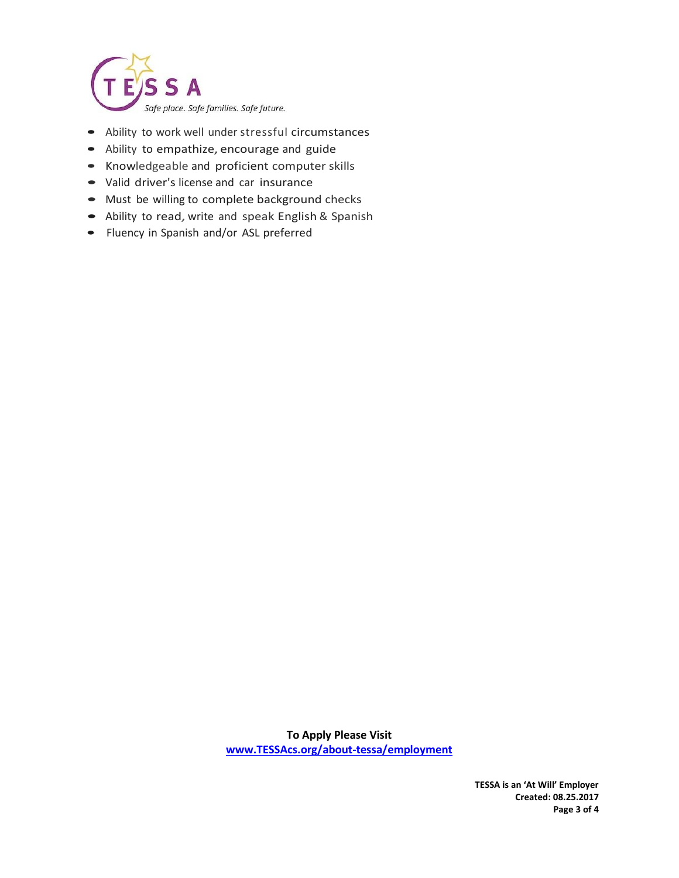

- Ability to work well under stressful circumstances
- Ability to empathize,encourage and guide
- Knowledgeable and proficient computer skills
- Valid driver's license and car insurance
- Must be willing to complete background checks
- Ability to read, write and speak English & Spanish
- Fluency in Spanish and/or ASL preferred

**To Apply Please Visit [www.TESSAcs.org/about-tessa/employment](http://www.tessacs.org/about-tessa/employment)**

> **TESSA is an 'At Will' Employer Created: 08.25.2017 Page 3 of 4**